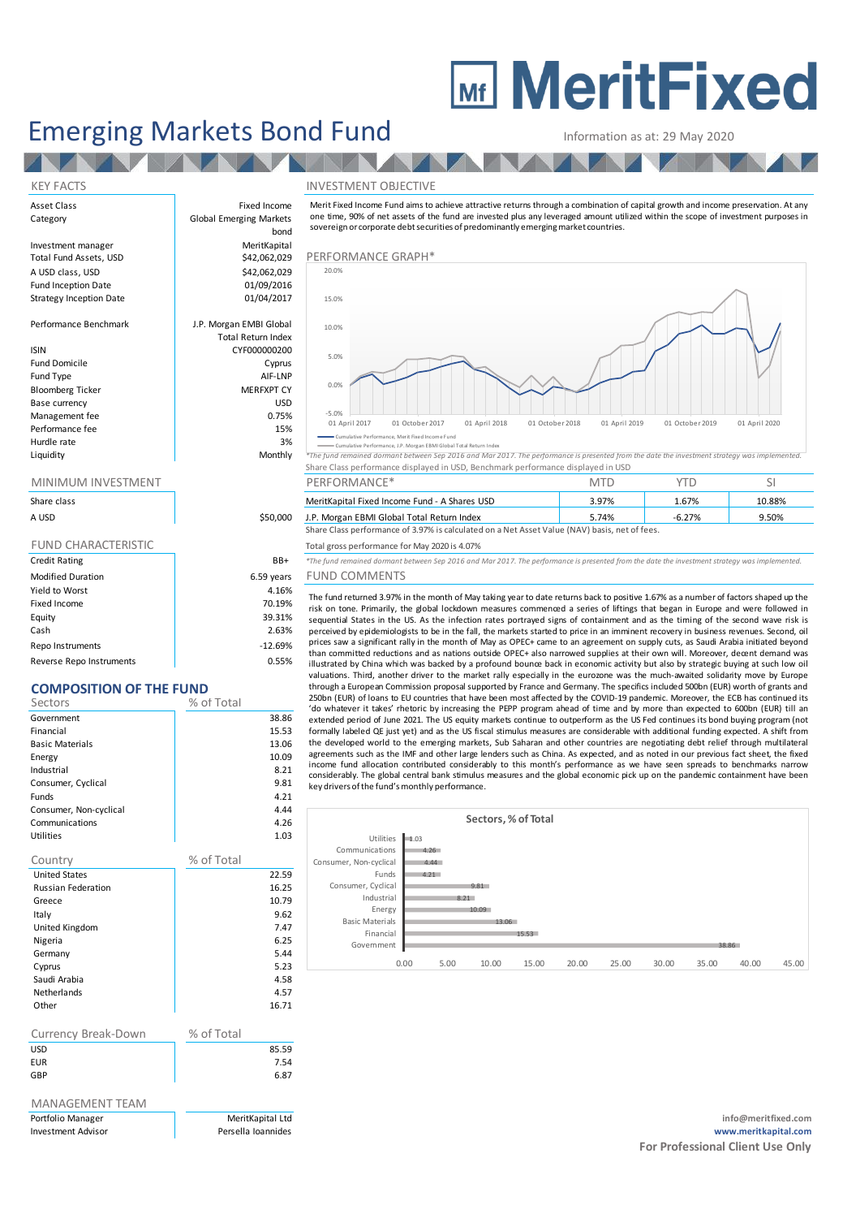# **MEDITY MeritFixed**

## Emerging Markets Bond Fund<br>
Information as at: 29 May 2020

#### KEY FACTS INVESTMENT OBJECTIVE

Asset Class **Fixed Income** Category **Global Emerging Markets** Investment manager **MeritKapital**<br>
Total Fund Assets USD MeritKapital Assets USD Total Fund Assets, USD **\$42,062,029** PERFORMANCE GRAPH A USD class, USD  $$42,062,029$ <br>Fund Inception Date  $$01/09/2016$ Fund Inception Date **12 bis 12 contract 101/09/2016**<br>Strategy Inception Date 101/04/2017 Strategy Inception Date Performance Benchmark J.P. Morgan EMBI Global Total Return Index ISIN CYF000000200 Fund Domicile **Cyprus** Fund Type AIF-LNP

**TALL** 

Bloomberg Ticker Base currency and the state of the USD USD USD Management fee between the contraction of the contraction of the contraction of the contraction of the contraction of the contraction of the contraction of the contraction of the contraction of the contraction of the contr Performance fee 15% and 15% and 15% and 15% and 15% and 15% and 15% and 15% and 15% and 15% and 15% and 15% and 15% and 15% and 15% and 15% and 15% and 15% and 15% and 15% and 15% and 15% and 15% and 15% and 15% and 15% an Hurdle rate and the state of the state of the state of the state of the state of the state of the state of the state of the state of the state of the state of the state of the state of the state of the state of the state o

| Share class                |            |
|----------------------------|------------|
| A USD                      | \$50,000   |
|                            |            |
| <b>FUND CHARACTERISTIC</b> |            |
| <b>Credit Rating</b>       | BB+        |
| <b>Modified Duration</b>   | 6.59 years |
| Yield to Worst             | 4.16%      |
| Fixed Income               | 70.19%     |
| Equity                     | 39.31%     |
| Cash                       | 2.63%      |

Repo Instruments and the contract of the contract of the contract of the contract of the contract of the contract of the contract of the contract of the contract of the contract of the contract of the contract of the contr Reverse Repo Instruments and the control of the control of the control of the control of the control of the control of the control of the control of the control of the control of the control of the control of the control o

### **COMPOSITION OF THE FUND**

| Sectors                   | % of Total |
|---------------------------|------------|
| Government                | 38.86      |
| Financial                 | 15.53      |
| <b>Basic Materials</b>    | 13.06      |
| Energy                    | 10.09      |
| Industrial                | 8.21       |
| Consumer, Cyclical        | 9.81       |
| Funds                     | 4.21       |
| Consumer, Non-cyclical    | 4.44       |
| Communications            | 4.26       |
| <b>Utilities</b>          | 1.03       |
|                           |            |
|                           |            |
| Country                   | % of Total |
| <b>United States</b>      | 22.59      |
| <b>Russian Federation</b> | 16.25      |
| Greece                    | 10.79      |
| Italy                     | 9.62       |
| United Kingdom            | 7.47       |
| Nigeria                   | 6.25       |
| Germany                   | 5.44       |
| Cyprus                    | 5.23       |
| Saudi Arabia              | 4.58       |
| <b>Netherlands</b>        | 4.57       |

| Currency Break-Down | % of Total |       |
|---------------------|------------|-------|
| USD                 |            | 85.59 |
| <b>EUR</b>          |            | 7.54  |
| GBP                 |            | 6.87  |
|                     |            |       |

### MANAGEMENT TEAM

bond Information as at: 29 May 2020<br>
NVESTMENT OBJECTIVE<br>
Merit Fixed Income Fund aims to achieve attractive returns through a combination of capital growth and income preservation. At any<br>
one time, 90% of net assets of the fu sovereign or corporate debt securities of predominantly emerging market countries.



Cumulative Performance, Merit Fixed Income Fund Cumulative Performance, J.P. Morgan EBMI Global Total Return Index

| Liquidity           | Monthly | *The fund remained dormant between Sep 2016 and Mar 2017. The performance is presented from the date the investment strategy was implemented. |  |  |  |  |  |  |
|---------------------|---------|-----------------------------------------------------------------------------------------------------------------------------------------------|--|--|--|--|--|--|
|                     |         | Share Class performance displayed in USD, Benchmark performance displayed in USD                                                              |  |  |  |  |  |  |
| MINIMIIM INVECTMENT |         | $DEDEODMAANCF*$                                                                                                                               |  |  |  |  |  |  |

|             |          | .                                                                                             | .     |          |        |  |  |  |  |
|-------------|----------|-----------------------------------------------------------------------------------------------|-------|----------|--------|--|--|--|--|
| Share class |          | MeritKapital Fixed Income Fund - A Shares USD                                                 | 3.97% | 67%      | 10.88% |  |  |  |  |
| A USD       | \$50,000 | J.P. Morgan EBMI Global Total Return Index                                                    | 5.74% | $-6.27%$ | 9.50%  |  |  |  |  |
|             |          | Share Class performance of 3.97% is calculated on a Net Asset Value (NAV) basis, net of fees. |       |          |        |  |  |  |  |

#### Total gross performance for May 2020 is 4.07%

 $B+$  *\*The fund remained dormant between Sep 2016 and Mar 2017. The performance is presented from the date the investment strategy was implemented.* ears FUND COMMENTS

**P. Morgan EBMI Global Total Return Index**<br>
5.74% 6.27% 6.27% 6.27% 6.27% 6.27% 6.25% 6.25% 6.25% 6.25% 6.25% 6.25% 6.25% 6.25% 6.25% 6.25% 6.25% 6.25% 6.25% 6.25% 6.25% 6.25% 6.25% 6.25% 6.25% 6.25% 6.25% 6.25% 6.25% 6.25 than committed reductions and as nations outside OPEC+ also narrowed supplies at their own will. Moreover, decent demand was<br>illustrated by China which was backed by a profound bounce back in economic activity but also by The fund returned 3.97% in the month of May taking year to date returns back to positive 1.67% as a number of factors shaped up the first on tone. Primarily, the global lockdown measures commenced a series of liftings that through a European Commission proposal supported by France and Germany. The specifics included 500bn (EUR) worth of grants and 250bn (EUR) of loans to EU countries that have been most affected by the COVID-19 pandemic. Moreover, the ECB has continued its<br>'do whatever it takes' rhetoric by increasing the PEPP program ahead of time and by more than Sequential states in the Os. As the minction rates pottrayed values the member and as the uriming of the second wave risk is the markets started to price in an imminent recovery in business revenues. Second, oil prices saw extended period of June 2021. The US equity markets continue to outperform as the US Fed continues its bond buying program (not formally labeled QE just yet) and as the US fiscal stimulus measures are considerable with additional funding expected. A shift from the developed world to the emerging markets, Sub Saharan and other countries are negotiating debt relief through multilateral<br>agreements such as the IMF and other large lenders such as China. As expected, and as noted in o invariant with vas backet by a pulouin ubunde elack in culture and the subsected, and as noted in our previous factor in the general studients. Third, another driver to the market rally especially in the eurozone was the m income fund allocation contributed considerably to this month's performance as we have seen spreads to benchmarks narrow key drivers of the fund's monthly performance